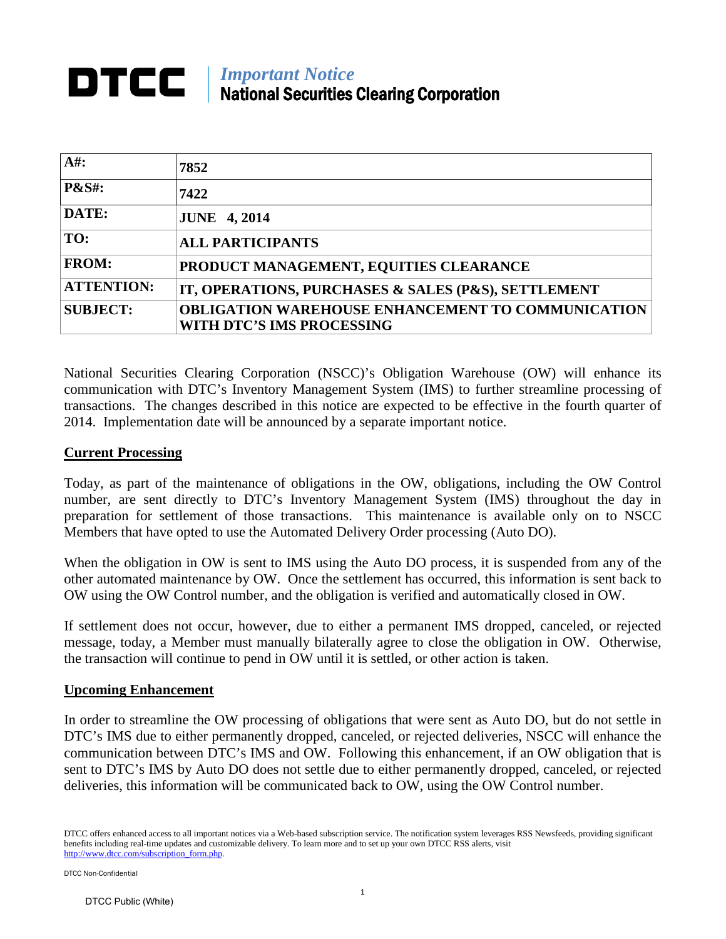## *Important Notice* National Securities Clearing Corporation

| $A#$ :            | 7852                                                                                  |
|-------------------|---------------------------------------------------------------------------------------|
| <b>P&amp;S#:</b>  | 7422                                                                                  |
| DATE:             | <b>JUNE 4, 2014</b>                                                                   |
| TO:               | <b>ALL PARTICIPANTS</b>                                                               |
| <b>FROM:</b>      | PRODUCT MANAGEMENT, EQUITIES CLEARANCE                                                |
| <b>ATTENTION:</b> | IT, OPERATIONS, PURCHASES & SALES (P&S), SETTLEMENT                                   |
| <b>SUBJECT:</b>   | <b>OBLIGATION WAREHOUSE ENHANCEMENT TO COMMUNICATION</b><br>WITH DTC'S IMS PROCESSING |

National Securities Clearing Corporation (NSCC)'s Obligation Warehouse (OW) will enhance its communication with DTC's Inventory Management System (IMS) to further streamline processing of transactions. The changes described in this notice are expected to be effective in the fourth quarter of 2014. Implementation date will be announced by a separate important notice.

## **Current Processing**

Today, as part of the maintenance of obligations in the OW, obligations, including the OW Control number, are sent directly to DTC's Inventory Management System (IMS) throughout the day in preparation for settlement of those transactions. This maintenance is available only on to NSCC Members that have opted to use the Automated Delivery Order processing (Auto DO).

When the obligation in OW is sent to IMS using the Auto DO process, it is suspended from any of the other automated maintenance by OW. Once the settlement has occurred, this information is sent back to OW using the OW Control number, and the obligation is verified and automatically closed in OW.

If settlement does not occur, however, due to either a permanent IMS dropped, canceled, or rejected message, today, a Member must manually bilaterally agree to close the obligation in OW. Otherwise, the transaction will continue to pend in OW until it is settled, or other action is taken.

## **Upcoming Enhancement**

In order to streamline the OW processing of obligations that were sent as Auto DO, but do not settle in DTC's IMS due to either permanently dropped, canceled, or rejected deliveries, NSCC will enhance the communication between DTC's IMS and OW. Following this enhancement, if an OW obligation that is sent to DTC's IMS by Auto DO does not settle due to either permanently dropped, canceled, or rejected deliveries, this information will be communicated back to OW, using the OW Control number.

DTCC offers enhanced access to all important notices via a Web-based subscription service. The notification system leverages RSS Newsfeeds, providing significant benefits including real-time updates and customizable delivery. To learn more and to set up your own DTCC RSS alerts, visit [http://www.dtcc.com/subscription\\_form.php.](http://www.dtcc.com/subscription_form.php)